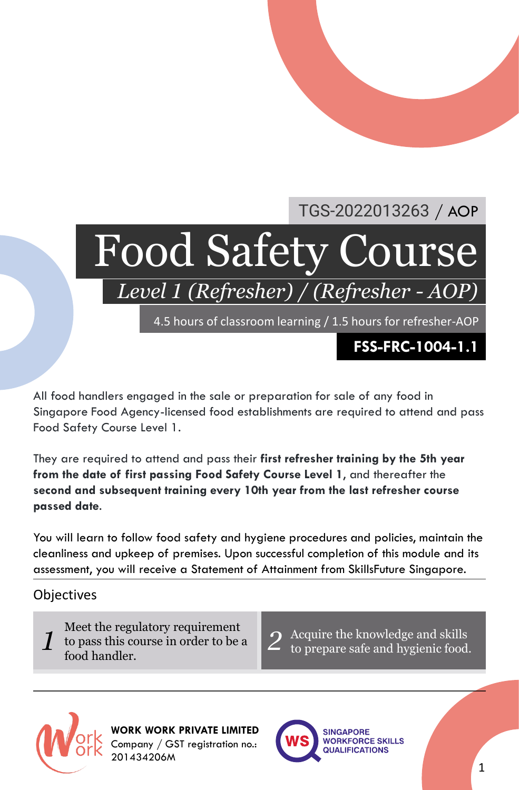### TGS-2022013263 / AOP

# Food Safety Course

*Level 1 (Refresher) / (Refresher - AOP)*

4.5 hours of classroom learning / 1.5 hours for refresher-AOP

**FSS-FRC-1004-1.1**

All food handlers engaged in the sale or preparation for sale of any food in Singapore Food Agency-licensed food establishments are required to attend and pass Food Safety Course Level 1.

They are required to attend and pass their **first refresher training by the 5th year from the date of first passing Food Safety Course Level 1**, and thereafter the **second and subsequent training every 10th year from the last refresher course passed date**.

You will learn to follow food safety and hygiene procedures and policies, maintain the cleanliness and upkeep of premises. Upon successful completion of this module and its assessment, you will receive a Statement of Attainment from SkillsFuture Singapore.

#### **Objectives**

- 1 to pass this course in order to be a Meet the regulatory requirement food handler.
- *2* Acquire the knowledge and skills to prepare safe and hygienic food.



**WORK WORK PRIVATE LIMITED** Company / GST registration no.: 201434206M